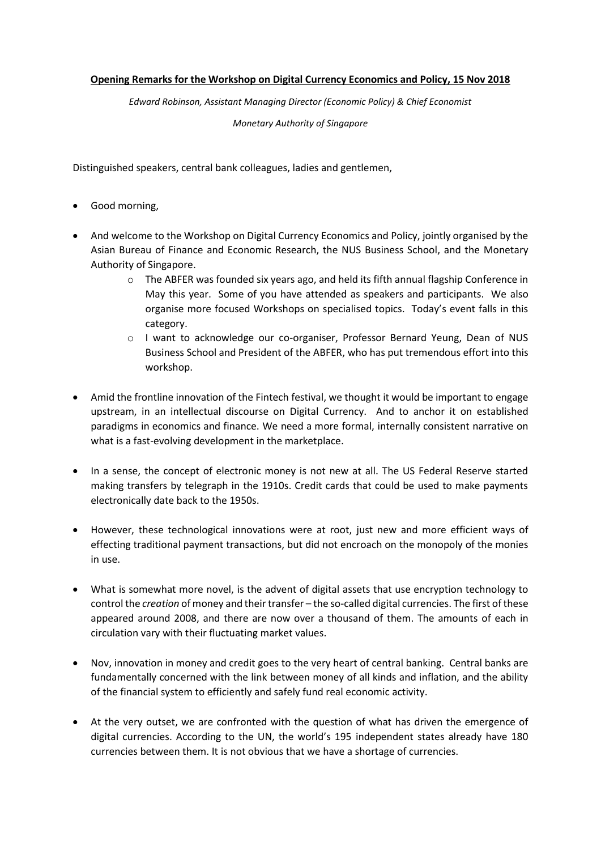## **Opening Remarks for the Workshop on Digital Currency Economics and Policy, 15 Nov 2018**

*Edward Robinson, Assistant Managing Director (Economic Policy) & Chief Economist*

*Monetary Authority of Singapore*

Distinguished speakers, central bank colleagues, ladies and gentlemen,

- Good morning,
- And welcome to the Workshop on Digital Currency Economics and Policy, jointly organised by the Asian Bureau of Finance and Economic Research, the NUS Business School, and the Monetary Authority of Singapore.
	- o The ABFER was founded six years ago, and held its fifth annual flagship Conference in May this year. Some of you have attended as speakers and participants. We also organise more focused Workshops on specialised topics. Today's event falls in this category.
	- o I want to acknowledge our co-organiser, Professor Bernard Yeung, Dean of NUS Business School and President of the ABFER, who has put tremendous effort into this workshop.
- Amid the frontline innovation of the Fintech festival, we thought it would be important to engage upstream, in an intellectual discourse on Digital Currency. And to anchor it on established paradigms in economics and finance. We need a more formal, internally consistent narrative on what is a fast-evolving development in the marketplace.
- In a sense, the concept of electronic money is not new at all. The US Federal Reserve started making transfers by telegraph in the 1910s. Credit cards that could be used to make payments electronically date back to the 1950s.
- However, these technological innovations were at root, just new and more efficient ways of effecting traditional payment transactions, but did not encroach on the monopoly of the monies in use.
- What is somewhat more novel, is the advent of digital assets that use encryption technology to control the *creation* of money and their transfer – the so-called digital currencies. The first of these appeared around 2008, and there are now over a thousand of them. The amounts of each in circulation vary with their fluctuating market values.
- Nov, innovation in money and credit goes to the very heart of central banking. Central banks are fundamentally concerned with the link between money of all kinds and inflation, and the ability of the financial system to efficiently and safely fund real economic activity.
- At the very outset, we are confronted with the question of what has driven the emergence of digital currencies. According to the UN, the world's 195 independent states already have 180 currencies between them. It is not obvious that we have a shortage of currencies.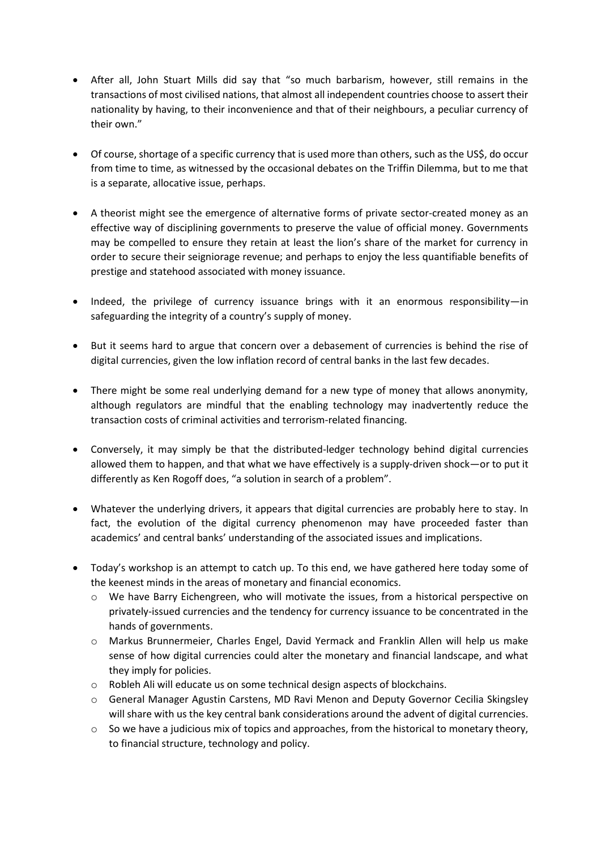- After all, John Stuart Mills did say that "so much barbarism, however, still remains in the transactions of most civilised nations, that almost all independent countries choose to assert their nationality by having, to their inconvenience and that of their neighbours, a peculiar currency of their own."
- Of course, shortage of a specific currency that is used more than others, such as the US\$, do occur from time to time, as witnessed by the occasional debates on the Triffin Dilemma, but to me that is a separate, allocative issue, perhaps.
- A theorist might see the emergence of alternative forms of private sector-created money as an effective way of disciplining governments to preserve the value of official money. Governments may be compelled to ensure they retain at least the lion's share of the market for currency in order to secure their seigniorage revenue; and perhaps to enjoy the less quantifiable benefits of prestige and statehood associated with money issuance.
- Indeed, the privilege of currency issuance brings with it an enormous responsibility—in safeguarding the integrity of a country's supply of money.
- But it seems hard to argue that concern over a debasement of currencies is behind the rise of digital currencies, given the low inflation record of central banks in the last few decades.
- There might be some real underlying demand for a new type of money that allows anonymity, although regulators are mindful that the enabling technology may inadvertently reduce the transaction costs of criminal activities and terrorism-related financing.
- Conversely, it may simply be that the distributed-ledger technology behind digital currencies allowed them to happen, and that what we have effectively is a supply-driven shock—or to put it differently as Ken Rogoff does, "a solution in search of a problem".
- Whatever the underlying drivers, it appears that digital currencies are probably here to stay. In fact, the evolution of the digital currency phenomenon may have proceeded faster than academics' and central banks' understanding of the associated issues and implications.
- Today's workshop is an attempt to catch up. To this end, we have gathered here today some of the keenest minds in the areas of monetary and financial economics.
	- o We have Barry Eichengreen, who will motivate the issues, from a historical perspective on privately-issued currencies and the tendency for currency issuance to be concentrated in the hands of governments.
	- o Markus Brunnermeier, Charles Engel, David Yermack and Franklin Allen will help us make sense of how digital currencies could alter the monetary and financial landscape, and what they imply for policies.
	- o Robleh Ali will educate us on some technical design aspects of blockchains.
	- o General Manager Agustin Carstens, MD Ravi Menon and Deputy Governor Cecilia Skingsley will share with us the key central bank considerations around the advent of digital currencies.
	- $\circ$  So we have a judicious mix of topics and approaches, from the historical to monetary theory, to financial structure, technology and policy.